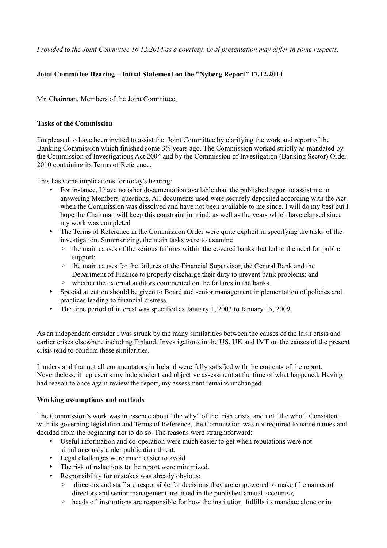*Provided to the Joint Committee 16.12.2014 as a courtesy. Oral presentation may differ in some respects.*

# **Joint Committee Hearing – Initial Statement on the "Nyberg Report" 17.12.2014**

Mr. Chairman, Members of the Joint Committee,

#### **Tasks of the Commission**

I'm pleased to have been invited to assist the Joint Committee by clarifying the work and report of the Banking Commission which finished some 3½ years ago. The Commission worked strictly as mandated by the Commission of Investigations Act 2004 and by the Commission of Investigation (Banking Sector) Order 2010 containing its Terms of Reference.

This has some implications for today's hearing:

- For instance, I have no other documentation available than the published report to assist me in answering Members' questions. All documents used were securely deposited according with the Act when the Commission was dissolved and have not been available to me since. I will do my best but I hope the Chairman will keep this constraint in mind, as well as the years which have elapsed since my work was completed
- The Terms of Reference in the Commission Order were quite explicit in specifying the tasks of the investigation. Summarizing, the main tasks were to examine
	- the main causes of the serious failures within the covered banks that led to the need for public support;
	- the main causes for the failures of the Financial Supervisor, the Central Bank and the Department of Finance to properly discharge their duty to prevent bank problems; and
	- whether the external auditors commented on the failures in the banks.
- Special attention should be given to Board and senior management implementation of policies and practices leading to financial distress.
- The time period of interest was specified as January 1, 2003 to January 15, 2009.

As an independent outsider I was struck by the many similarities between the causes of the Irish crisis and earlier crises elsewhere including Finland. Investigations in the US, UK and IMF on the causes of the present crisis tend to confirm these similarities.

I understand that not all commentators in Ireland were fully satisfied with the contents of the report. Nevertheless, it represents my independent and objective assessment at the time of what happened. Having had reason to once again review the report, my assessment remains unchanged.

#### **Working assumptions and methods**

The Commission's work was in essence about "the why" of the Irish crisis, and not "the who". Consistent with its governing legislation and Terms of Reference, the Commission was not required to name names and decided from the beginning not to do so. The reasons were straightforward:

- Useful information and co-operation were much easier to get when reputations were not simultaneously under publication threat.
- Legal challenges were much easier to avoid.
- The risk of redactions to the report were minimized.
- Responsibility for mistakes was already obvious:
	- directors and staff are responsible for decisions they are empowered to make (the names of directors and senior management are listed in the published annual accounts);
	- heads of institutions are responsible for how the institution fulfills its mandate alone or in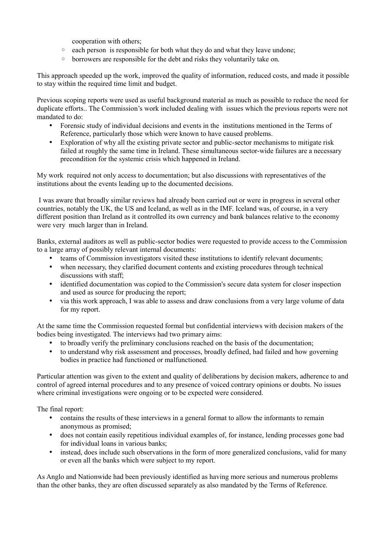cooperation with others;

- each person is responsible for both what they do and what they leave undone;
- borrowers are responsible for the debt and risks they voluntarily take on.

This approach speeded up the work, improved the quality of information, reduced costs, and made it possible to stay within the required time limit and budget.

Previous scoping reports were used as useful background material as much as possible to reduce the need for duplicate efforts.. The Commission's work included dealing with issues which the previous reports were not mandated to do:

- Forensic study of individual decisions and events in the institutions mentioned in the Terms of Reference, particularly those which were known to have caused problems.
- Exploration of why all the existing private sector and public-sector mechanisms to mitigate risk failed at roughly the same time in Ireland. These simultaneous sector-wide failures are a necessary precondition for the systemic crisis which happened in Ireland.

My work required not only access to documentation; but also discussions with representatives of the institutions about the events leading up to the documented decisions.

I was aware that broadly similar reviews had already been carried out or were in progress in several other countries, notably the UK, the US and Iceland, as well as in the IMF. Iceland was, of course, in a very different position than Ireland as it controlled its own currency and bank balances relative to the economy were very much larger than in Ireland.

Banks, external auditors as well as public-sector bodies were requested to provide access to the Commission to a large array of possibly relevant internal documents:

- teams of Commission investigators visited these institutions to identify relevant documents;
- when necessary, they clarified document contents and existing procedures through technical discussions with staff;
- identified documentation was copied to the Commission's secure data system for closer inspection and used as source for producing the report;
- via this work approach, I was able to assess and draw conclusions from a very large volume of data for my report.

At the same time the Commission requested formal but confidential interviews with decision makers of the bodies being investigated. The interviews had two primary aims:

- to broadly verify the preliminary conclusions reached on the basis of the documentation;
- to understand why risk assessment and processes, broadly defined, had failed and how governing bodies in practice had functioned or malfunctioned.

Particular attention was given to the extent and quality of deliberations by decision makers, adherence to and control of agreed internal procedures and to any presence of voiced contrary opinions or doubts. No issues where criminal investigations were ongoing or to be expected were considered.

The final report:

- contains the results of these interviews in a general format to allow the informants to remain anonymous as promised;
- does not contain easily repetitious individual examples of, for instance, lending processes gone bad for individual loans in various banks;
- instead, does include such observations in the form of more generalized conclusions, valid for many or even all the banks which were subject to my report.

As Anglo and Nationwide had been previously identified as having more serious and numerous problems than the other banks, they are often discussed separately as also mandated by the Terms of Reference.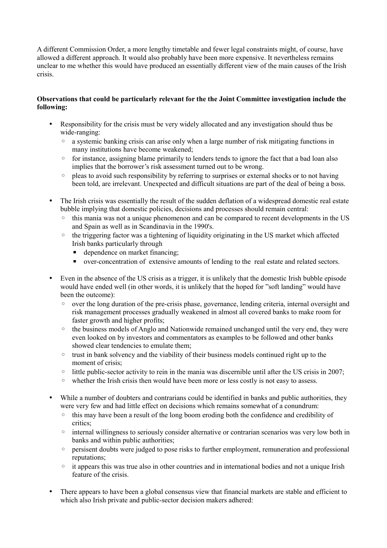A different Commission Order, a more lengthy timetable and fewer legal constraints might, of course, have allowed a different approach. It would also probably have been more expensive. It nevertheless remains unclear to me whether this would have produced an essentially different view of the main causes of the Irish crisis.

# **Observations that could be particularly relevant for the the Joint Committee investigation include the following:**

- Responsibility for the crisis must be very widely allocated and any investigation should thus be wide-ranging:
	- a systemic banking crisis can arise only when a large number of risk mitigating functions in many institutions have become weakened;
	- for instance, assigning blame primarily to lenders tends to ignore the fact that a bad loan also implies that the borrower's risk assessment turned out to be wrong.
	- pleas to avoid such responsibility by referring to surprises or external shocks or to not having been told, are irrelevant. Unexpected and difficult situations are part of the deal of being a boss.
- The Irish crisis was essentially the result of the sudden deflation of a widespread domestic real estate bubble implying that domestic policies, decisions and processes should remain central:
	- this mania was not a unique phenomenon and can be compared to recent developments in the US and Spain as well as in Scandinavia in the 1990's.
	- the triggering factor was a tightening of liquidity originating in the US market which affected Irish banks particularly through
		- **•** dependence on market financing;
		- over-concentration of extensive amounts of lending to the real estate and related sectors.
- Even in the absence of the US crisis as a trigger, it is unlikely that the domestic Irish bubble episode would have ended well (in other words, it is unlikely that the hoped for "soft landing" would have been the outcome):
	- over the long duration of the pre-crisis phase, governance, lending criteria, internal oversight and risk management processes gradually weakened in almost all covered banks to make room for faster growth and higher profits;
	- the business models of Anglo and Nationwide remained unchanged until the very end, they were even looked on by investors and commentators as examples to be followed and other banks showed clear tendencies to emulate them;
	- trust in bank solvency and the viability of their business models continued right up to the moment of crisis:
	- little public-sector activity to rein in the mania was discernible until after the US crisis in 2007;
	- whether the Irish crisis then would have been more or less costly is not easy to assess.
- While a number of doubters and contrarians could be identified in banks and public authorities, they were very few and had little effect on decisions which remains somewhat of a conundrum:
	- this may have been a result of the long boom eroding both the confidence and credibility of critics;
	- internal willingness to seriously consider alternative or contrarian scenarios was very low both in banks and within public authorities;
	- persisent doubts were judged to pose risks to further employment, remuneration and professional reputations;
	- it appears this was true also in other countries and in international bodies and not a unique Irish feature of the crisis.
- There appears to have been a global consensus view that financial markets are stable and efficient to which also Irish private and public-sector decision makers adhered: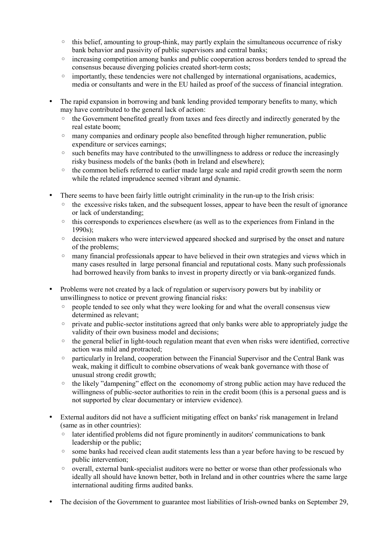- $\circ$  this belief, amounting to group-think, may partly explain the simultaneous occurrence of risky bank behavior and passivity of public supervisors and central banks;
- increasing competition among banks and public cooperation across borders tended to spread the consensus because diverging policies created short-term costs;
- importantly, these tendencies were not challenged by international organisations, academics, media or consultants and were in the EU hailed as proof of the success of financial integration.
- The rapid expansion in borrowing and bank lending provided temporary benefits to many, which may have contributed to the general lack of action:
	- the Government benefited greatly from taxes and fees directly and indirectly generated by the real estate boom;
	- many companies and ordinary people also benefited through higher remuneration, public expenditure or services earnings;
	- such benefits may have contributed to the unwillingness to address or reduce the increasingly risky business models of the banks (both in Ireland and elsewhere);
	- the common beliefs referred to earlier made large scale and rapid credit growth seem the norm while the related imprudence seemed vibrant and dynamic.
- There seems to have been fairly little outright criminality in the run-up to the Irish crisis:
	- the excessive risks taken, and the subsequent losses, appear to have been the result of ignorance or lack of understanding;
	- this corresponds to experiences elsewhere (as well as to the experiences from Finland in the 1990s);
	- decision makers who were interviewed appeared shocked and surprised by the onset and nature of the problems;
	- many financial professionals appear to have believed in their own strategies and views which in many cases resulted in large personal financial and reputational costs. Many such professionals had borrowed heavily from banks to invest in property directly or via bank-organized funds.
- Problems were not created by a lack of regulation or supervisory powers but by inability or unwillingness to notice or prevent growing financial risks:
	- people tended to see only what they were looking for and what the overall consensus view determined as relevant;
	- private and public-sector institutions agreed that only banks were able to appropriately judge the validity of their own business model and decisions;
	- the general belief in light-touch regulation meant that even when risks were identified, corrective action was mild and protracted;
	- particularly in Ireland, cooperation between the Financial Supervisor and the Central Bank was weak, making it difficult to combine observations of weak bank governance with those of unusual strong credit growth;
	- the likely "dampening" effect on the economomy of strong public action may have reduced the willingness of public-sector authorities to rein in the credit boom (this is a personal guess and is not supported by clear documentary or interview evidence).
- External auditors did not have a sufficient mitigating effect on banks' risk management in Ireland (same as in other countries):
	- later identified problems did not figure prominently in auditors' communications to bank leadership or the public;
	- some banks had received clean audit statements less than a year before having to be rescued by public intervention;
	- overall, external bank-specialist auditors were no better or worse than other professionals who ideally all should have known better, both in Ireland and in other countries where the same large international auditing firms audited banks.
- The decision of the Government to guarantee most liabilities of Irish-owned banks on September 29,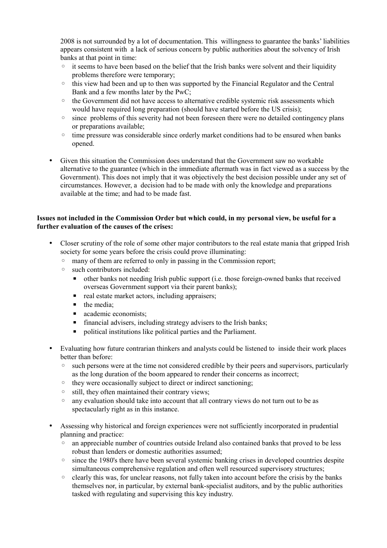2008 is not surrounded by a lot of documentation. This willingness to guarantee the banks' liabilities appears consistent with a lack of serious concern by public authorities about the solvency of Irish banks at that point in time:

- it seems to have been based on the belief that the Irish banks were solvent and their liquidity problems therefore were temporary;
- this view had been and up to then was supported by the Financial Regulator and the Central Bank and a few months later by the PwC;
- the Government did not have access to alternative credible systemic risk assessments which would have required long preparation (should have started before the US crisis);
- since problems of this severity had not been foreseen there were no detailed contingency plans or preparations available;
- time pressure was considerable since orderly market conditions had to be ensured when banks opened.
- Given this situation the Commission does understand that the Government saw no workable alternative to the guarantee (which in the immediate aftermath was in fact viewed as a success by the Government). This does not imply that it was objectively the best decision possible under any set of circumstances. However, a decision had to be made with only the knowledge and preparations available at the time; and had to be made fast.

### **Issues not included in the Commission Order but which could, in my personal view, be useful for a further evaluation of the causes of the crises:**

- Closer scrutiny of the role of some other major contributors to the real estate mania that gripped Irish society for some years before the crisis could prove illuminating:
	- many of them are referred to only in passing in the Commission report;
	- such contributors included:
		- other banks not needing Irish public support (i.e. those foreign-owned banks that received overseas Government support via their parent banks);
		- real estate market actors, including appraisers;
		- $\blacksquare$  the media:
		- academic economists:
		- **·** financial advisers, including strategy advisers to the Irish banks;
		- political institutions like political parties and the Parliament.
- Evaluating how future contrarian thinkers and analysts could be listened to inside their work places better than before:
	- such persons were at the time not considered credible by their peers and supervisors, particularly as the long duration of the boom appeared to render their concerns as incorrect;
	- they were occasionally subject to direct or indirect sanctioning;
	- still, they often maintained their contrary views;
	- any evaluation should take into account that all contrary views do not turn out to be as spectacularly right as in this instance.
- Assessing why historical and foreign experiences were not sufficiently incorporated in prudential planning and practice:
	- an appreciable number of countries outside Ireland also contained banks that proved to be less robust than lenders or domestic authorities assumed;
	- since the 1980's there have been several systemic banking crises in developed countries despite simultaneous comprehensive regulation and often well resourced supervisory structures;
	- clearly this was, for unclear reasons, not fully taken into account before the crisis by the banks themselves nor, in particular, by external bank-specialist auditors, and by the public authorities tasked with regulating and supervising this key industry.